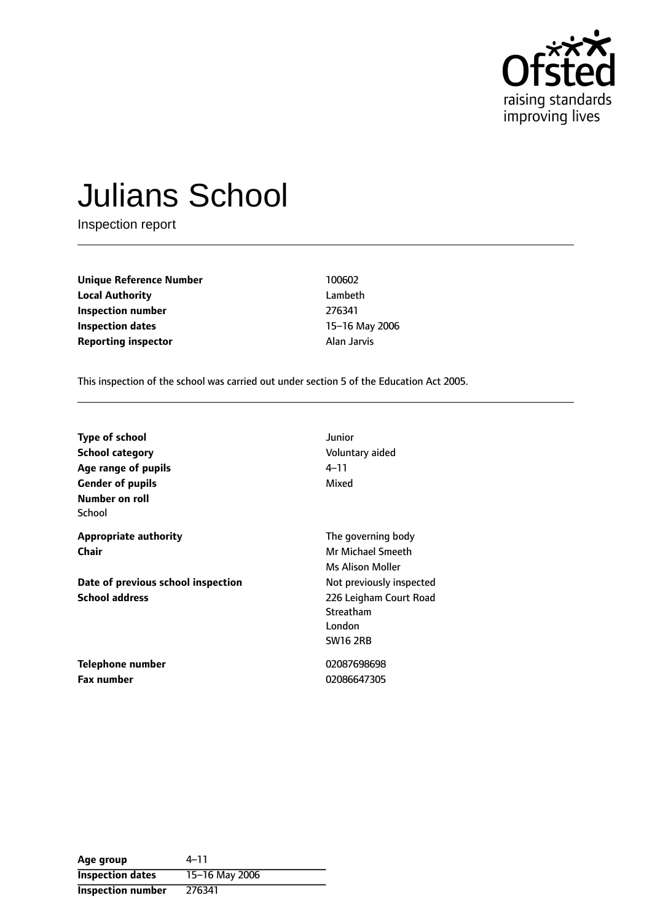

# Julians School

Inspection report

**Unique Reference Number** 100602 **Local Authority** Lambeth **Inspection number** 276341 **Inspection dates** 15-16 May 2006 **Reporting inspector Alan Jarvis** 

This inspection of the school was carried out under section 5 of the Education Act 2005.

| <b>Type of school</b>              | Junior                   |
|------------------------------------|--------------------------|
| <b>School category</b>             | Voluntary aided          |
| Age range of pupils                | 4–11                     |
| <b>Gender of pupils</b>            | Mixed                    |
| Number on roll                     |                          |
| School                             |                          |
| <b>Appropriate authority</b>       | The governing body       |
| Chair                              | Mr Michael Smeeth        |
|                                    | Ms Alison Moller         |
| Date of previous school inspection | Not previously inspected |
| <b>School address</b>              | 226 Leigham Court Road   |
|                                    | Streatham                |
|                                    | London                   |
|                                    | <b>SW16 2RB</b>          |
| Telephone number                   | 02087698698              |
| Fax number                         | 02086647305              |

| Age group                | 4–11           |
|--------------------------|----------------|
| <b>Inspection dates</b>  | 15-16 May 2006 |
| <b>Inspection number</b> | 276341         |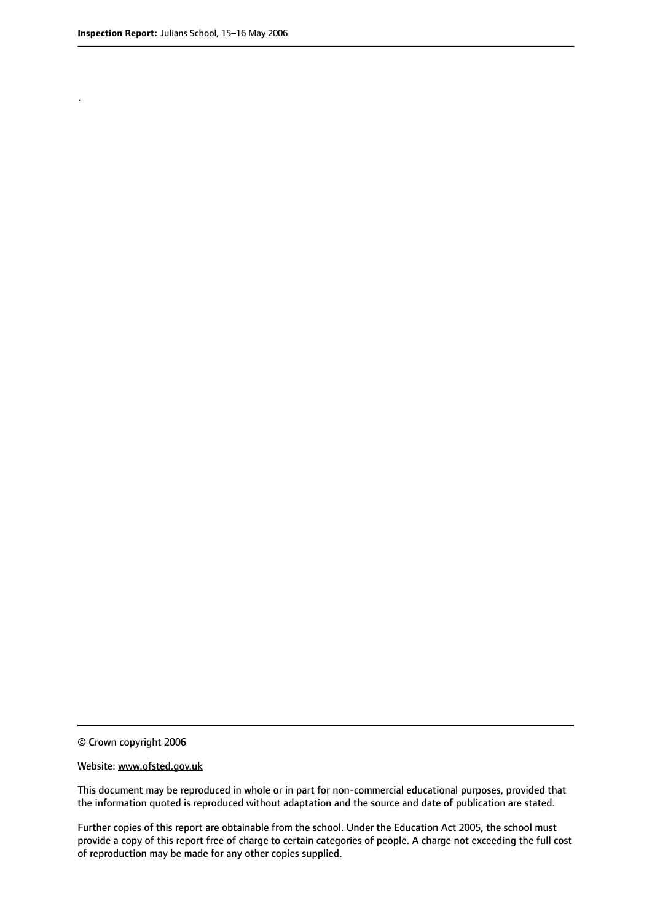.

© Crown copyright 2006

#### Website: www.ofsted.gov.uk

This document may be reproduced in whole or in part for non-commercial educational purposes, provided that the information quoted is reproduced without adaptation and the source and date of publication are stated.

Further copies of this report are obtainable from the school. Under the Education Act 2005, the school must provide a copy of this report free of charge to certain categories of people. A charge not exceeding the full cost of reproduction may be made for any other copies supplied.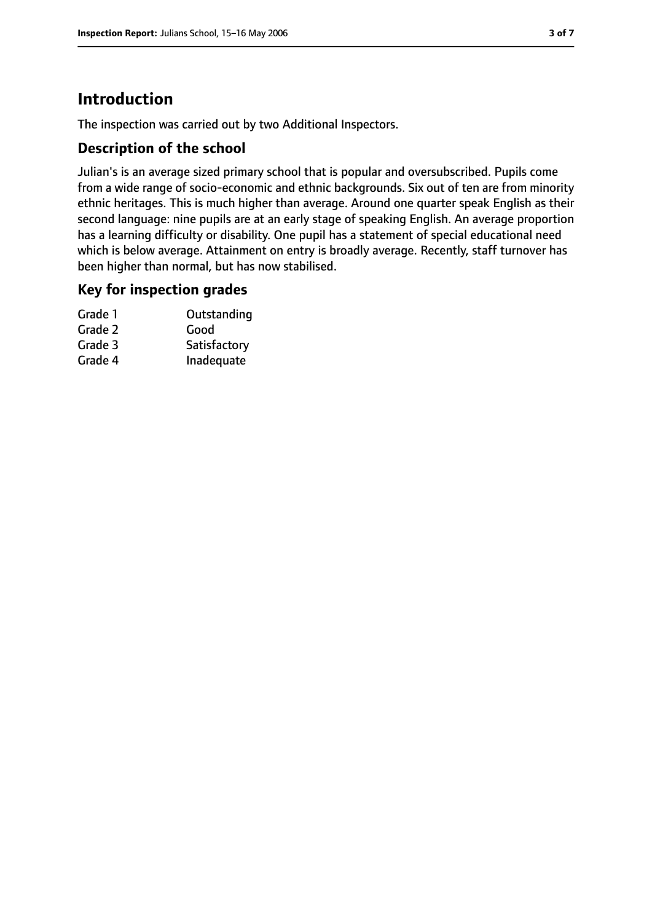# **Introduction**

The inspection was carried out by two Additional Inspectors.

## **Description of the school**

Julian's is an average sized primary school that is popular and oversubscribed. Pupils come from a wide range of socio-economic and ethnic backgrounds. Six out of ten are from minority ethnic heritages. This is much higher than average. Around one quarter speak English as their second language: nine pupils are at an early stage of speaking English. An average proportion has a learning difficulty or disability. One pupil has a statement of special educational need which is below average. Attainment on entry is broadly average. Recently, staff turnover has been higher than normal, but has now stabilised.

## **Key for inspection grades**

| Grade 1 | Outstanding  |
|---------|--------------|
| Grade 2 | Good         |
| Grade 3 | Satisfactory |
| Grade 4 | Inadequate   |
|         |              |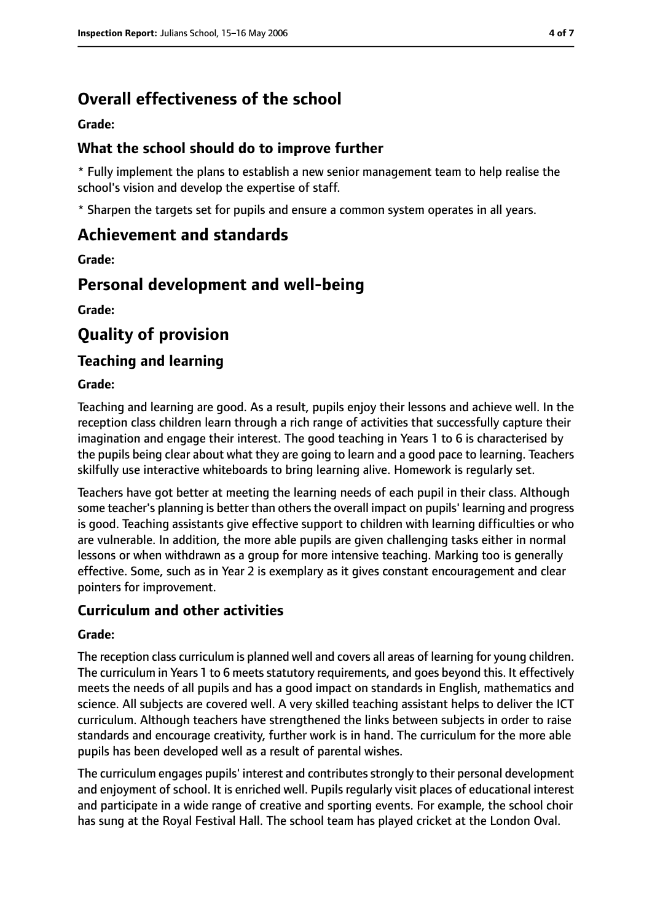# **Overall effectiveness of the school**

#### **Grade:**

## **What the school should do to improve further**

\* Fully implement the plans to establish a new senior management team to help realise the school's vision and develop the expertise of staff.

\* Sharpen the targets set for pupils and ensure a common system operates in all years.

## **Achievement and standards**

**Grade:**

# **Personal development and well-being**

**Grade:**

# **Quality of provision**

## **Teaching and learning**

#### **Grade:**

Teaching and learning are good. As a result, pupils enjoy their lessons and achieve well. In the reception class children learn through a rich range of activities that successfully capture their imagination and engage their interest. The good teaching in Years 1 to 6 is characterised by the pupils being clear about what they are going to learn and a good pace to learning. Teachers skilfully use interactive whiteboards to bring learning alive. Homework is regularly set.

Teachers have got better at meeting the learning needs of each pupil in their class. Although some teacher's planning is better than others the overall impact on pupils' learning and progress is good. Teaching assistants give effective support to children with learning difficulties or who are vulnerable. In addition, the more able pupils are given challenging tasks either in normal lessons or when withdrawn as a group for more intensive teaching. Marking too is generally effective. Some, such as in Year 2 is exemplary as it gives constant encouragement and clear pointers for improvement.

## **Curriculum and other activities**

#### **Grade:**

The reception class curriculum is planned well and covers all areas of learning for young children. The curriculum in Years 1 to 6 meets statutory requirements, and goes beyond this. It effectively meets the needs of all pupils and has a good impact on standards in English, mathematics and science. All subjects are covered well. A very skilled teaching assistant helps to deliver the ICT curriculum. Although teachers have strengthened the links between subjects in order to raise standards and encourage creativity, further work is in hand. The curriculum for the more able pupils has been developed well as a result of parental wishes.

The curriculum engages pupils' interest and contributes strongly to their personal development and enjoyment of school. It is enriched well. Pupils regularly visit places of educational interest and participate in a wide range of creative and sporting events. For example, the school choir has sung at the Royal Festival Hall. The school team has played cricket at the London Oval.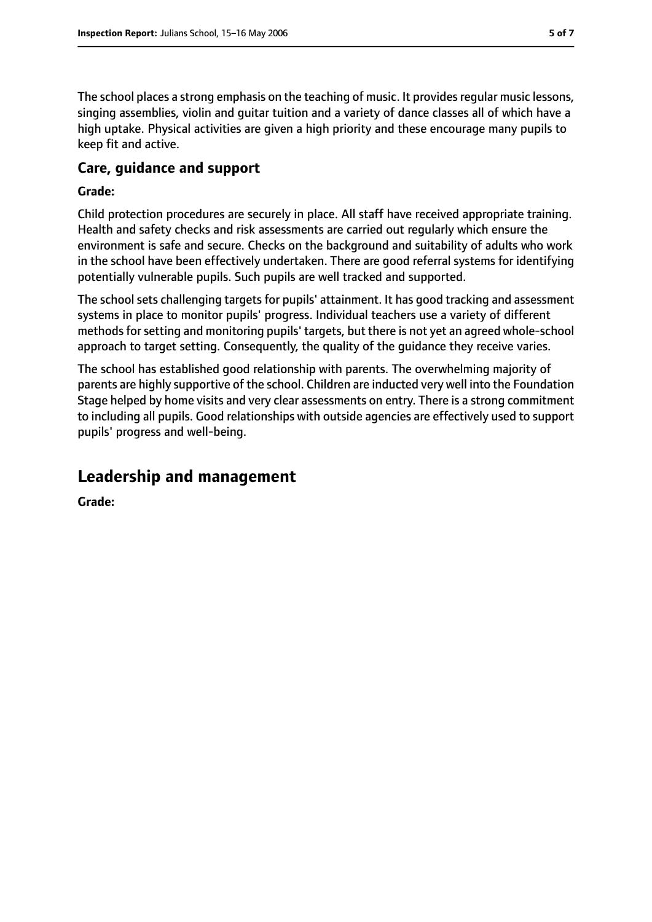The school places a strong emphasis on the teaching of music. It provides regular music lessons, singing assemblies, violin and guitar tuition and a variety of dance classes all of which have a high uptake. Physical activities are given a high priority and these encourage many pupils to keep fit and active.

## **Care, guidance and support**

#### **Grade:**

Child protection procedures are securely in place. All staff have received appropriate training. Health and safety checks and risk assessments are carried out regularly which ensure the environment is safe and secure. Checks on the background and suitability of adults who work in the school have been effectively undertaken. There are good referral systems for identifying potentially vulnerable pupils. Such pupils are well tracked and supported.

The school sets challenging targets for pupils' attainment. It has good tracking and assessment systems in place to monitor pupils' progress. Individual teachers use a variety of different methods for setting and monitoring pupils' targets, but there is not yet an agreed whole-school approach to target setting. Consequently, the quality of the guidance they receive varies.

The school has established good relationship with parents. The overwhelming majority of parents are highly supportive of the school. Children are inducted very well into the Foundation Stage helped by home visits and very clear assessments on entry. There is a strong commitment to including all pupils. Good relationships with outside agencies are effectively used to support pupils' progress and well-being.

# **Leadership and management**

**Grade:**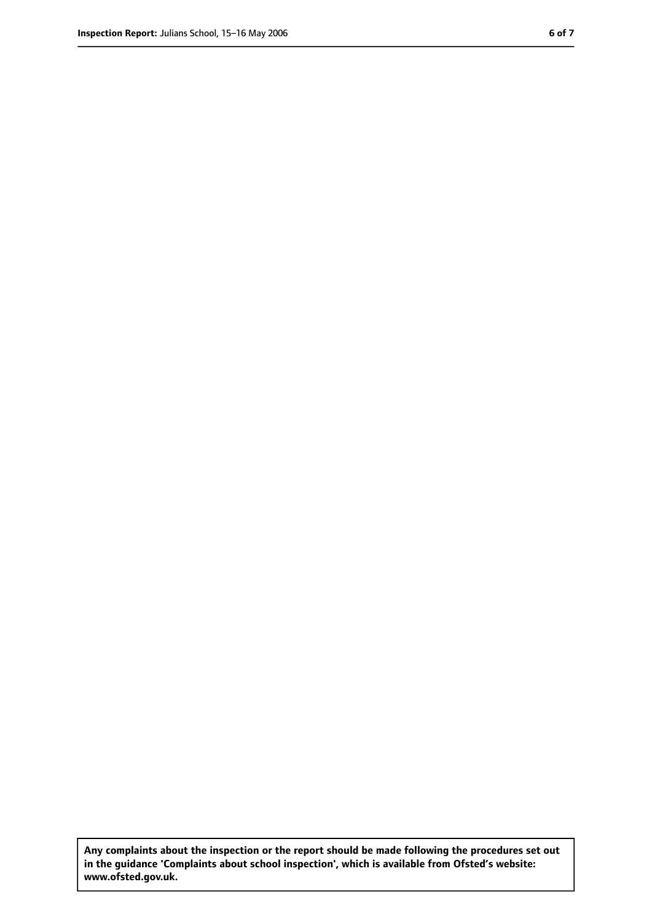**Any complaints about the inspection or the report should be made following the procedures set out in the guidance 'Complaints about school inspection', which is available from Ofsted's website: www.ofsted.gov.uk.**